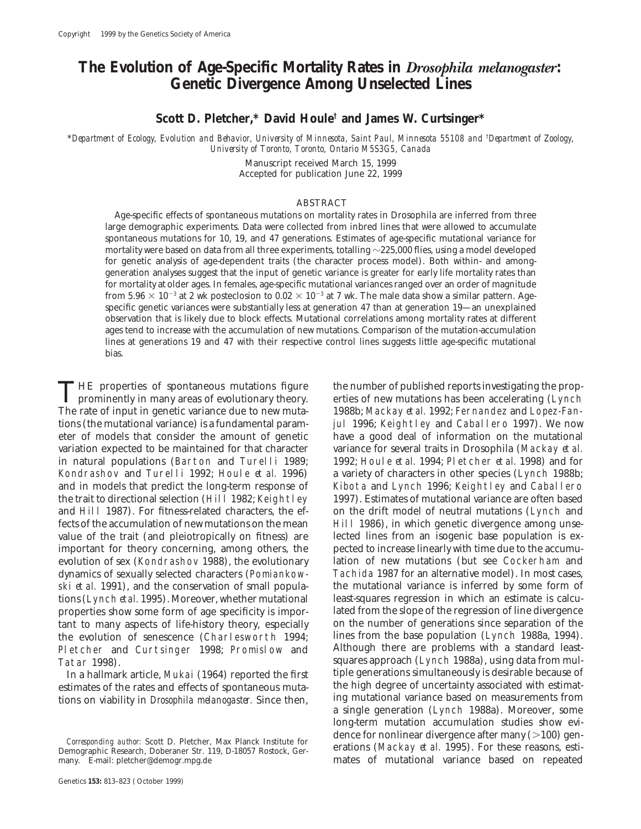# **The Evolution of Age-Specific Mortality Rates in** *Drosophila melanogaster***: Genetic Divergence Among Unselected Lines**

**Scott D. Pletcher,\* David Houle† and James W. Curtsinger\***

\**Department of Ecology, Evolution and Behavior, University of Minnesota, Saint Paul, Minnesota 55108 and* † *Department of Zoology, University of Toronto, Toronto, Ontario M5S3G5, Canada*

> Manuscript received March 15, 1999 Accepted for publication June 22, 1999

# ABSTRACT

Age-specific effects of spontaneous mutations on mortality rates in Drosophila are inferred from three large demographic experiments. Data were collected from inbred lines that were allowed to accumulate spontaneous mutations for 10, 19, and 47 generations. Estimates of age-specific mutational variance for mortality were based on data from all three experiments, totalling  $\sim$ 225,000 flies, using a model developed for genetic analysis of age-dependent traits (the character process model). Both within- and amonggeneration analyses suggest that the input of genetic variance is greater for early life mortality rates than for mortality at older ages. In females, age-specific mutational variances ranged over an order of magnitude from 5.96  $\times$  10<sup>-3</sup> at 2 wk posteclosion to 0.02  $\times$  10<sup>-3</sup> at 7 wk. The male data show a similar pattern. Agespecific genetic variances were substantially less at generation 47 than at generation 19—an unexplained observation that is likely due to block effects. Mutational correlations among mortality rates at different ages tend to increase with the accumulation of new mutations. Comparison of the mutation-accumulation lines at generations 19 and 47 with their respective control lines suggests little age-specific mutational bias.

THE properties of spontaneous mutations figure the number of published reports investigating the prop-<br>prominently in many areas of evolutionary theory.<br>The rate of input in genetic vertices due to new mutations has been a The rate of input in genetic variance due to new muta-<br>1988b; Mackay *et al.* 1992; Fernandez and Lopez-Fantions (the mutational variance) is a fundamental param- jul 1996; Keightley and Caballero 1997). We now eter of models that consider the amount of genetic have a good deal of information on the mutational variation expected to be maintained for that character variance for several traits in Drosophila (Mackay *et al.* in natural populations (Barton and Turelli 1989; 1992; Houle *et al.* 1994; Pletcher *et al.* 1998) and for Kondrashov and Turelli 1992; Houle *et al.* 1996) a variety of characters in other species (Lynch 1988b; and in models that predict the long-term response of Kibota and Lynch 1996; Keightley and Caballero the trait to directional selection (Hill 1982; Keightley 1997). Estimates of mutational variance are often based and Hill 1987). For fitness-related characters, the ef- on the drift model of neutral mutations (Lynch and fects of the accumulation of new mutations on the mean Hill 1986), in which genetic divergence among unsevalue of the trait (and pleiotropically on fitness) are lected lines from an isogenic base population is eximportant for theory concerning, among others, the pected to increase linearly with time due to the accumuevolution of sex (Kondrashov 1988), the evolutionary lation of new mutations (but see Cockerham and dynamics of sexually selected characters (Pomiankow- Tachida 1987 for an alternative model). In most cases, ski *et al.* 1991), and the conservation of small popula- the mutational variance is inferred by some form of tions (Lynch *et al.* 1995). Moreover, whether mutational least-squares regression in which an estimate is calcuproperties show some form of age specificity is impor- lated from the slope of the regression of line divergence tant to many aspects of life-history theory, especially on the number of generations since separation of the the evolution of senescence (Charlesworth 1994; lines from the base population (Lynch 1988a, 1994).<br>Pletcher and Curtsinger 1998: Promislow and Although there are problems with a standard least-Pletcher and Curtsinger 1998; Promislow and<br>Tatar 1998).

tions on viability in *Drosophila melanogaster*. Since then,

squares approach (Lynch 1988a), using data from mul-<br>tiple generations simultaneously is desirable because of In a hallmark article, Mukai (1964) reported the first tiple generations simultaneously is desirable because of<br>timates of the rates and effects of spontaneous muta-<br>the high degree of uncertainty associated with estimatestimates of the rates and effects of spontaneous muta-<br>tions on viability in *Drasophila melanogaster*. Since then ling mutational variance based on measurements from a single generation (Lynch 1988a). Moreover, some long-term mutation accumulation studies show evi-*Corresponding author:* Scott D. Pletcher, Max Planck Institute for<br>
erations (Mackay *et al.* 1995). For these reasons, esti-<br>
erations (Mackay *et al.* 1995). For these reasons, estimates of mutational variance based on repeated

Demographic Research, Doberaner Str. 119, D-18057 Rostock, Ger-<br>many. E-mail: pletcher@demogr.mpg.de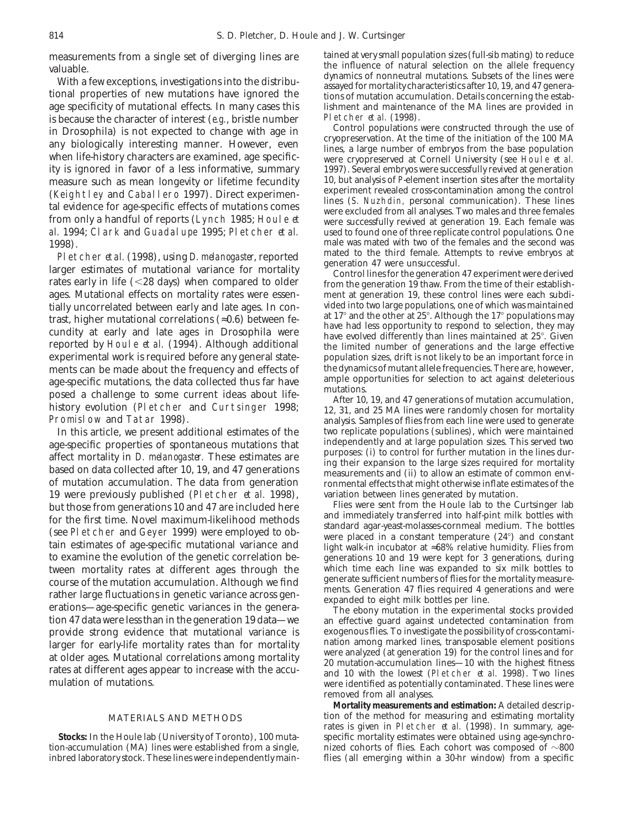is because the character of interest (*e.g.*, bristle number<br>
Pletcher *et al.* (1998).<br>
Control populations were constructed through the use of *al.* 1994; Clark and Guadalupe 1995; Pletcher *et al.* 

Pletcher *et al.* (1998), using *D. melanogaster*, reported<br>larger estimates of mutational variance for mortality<br>rates early in life (<28 days) when compared to older<br>generation 19 thaw. From the time of their establish-<br> ages. Mutational effects on mortality rates were essen-<br>tially uncorrelated between early and late ages. In con-<br>vided into two large populations, one of which was maintained tially uncorrelated between early and late ages. In con-<br>tract bigher mutational correlations  $(-0.6)$  between fe. at 17° and the other at 25°. Although the 17° populations may trast, higher mutational correlations ( $\approx$ 0.6) between fearth of the different at 25°. Although the 17° populations may<br>cundity at early and late ages in Drosophila were<br>reported by Houle *et al.* (1994). Although additi experimental work is required before any general state-<br>ments can be made about the frequency and effects of the dynamics of mutant allele frequencies. There are, however, ments can be made about the frequency and effects of the dynamics of mutant allele frequencies. There are, however,<br>are specific mutations the data collected thus far have ample opportunities for selection to act against d age-specific mutations, the data collected thus far have ample opportunities for selection to act against deleterious<br>posed a challenge to some current ideas about life-<br>history evolution (Pletcher and Curtsinger 1998;<br>Pro

age-specific properties of spontaneous mutations that and independently and at large population sizes. This served two<br>affect mortality in *D. melanogaster*. These estimates are based on data collected after 10, 19, and 47 19 were previously published (Pletcher *et al.* 1998), variation between lines generated by mutation. but those from generations 10 and 47 are included here Flies were sent from the Houle lab to the Curtsinger lab<br>for the first time. Novel maximum likelihood methods and immediately transferred into half-pint milk bottles w for the first time. Novel maximum-likelihood methods<br>
(see Pletcher and Geyer 1999) were employed to obtain estimates of age-specific mutational variance and<br>
tain estimates of age-specific mutational variance and<br>
the se to examine the evolution of the genetic correlation be-<br>tween mortality rates at different ages through the which time each line was expanded to six milk bottles to tween mortality rates at different ages through the which time each line was expanded to six milk bottles to course of the mutation accumulation. Although we find generate sufficient numbers of flies for the mortality meas course of the mutation accumulation. Although we find<br>
rather large fluctuations in genetic variance across generate sufficient numbers of flies for the mortality measure-<br>
expanded to eight milk bottles per line.<br>
The ebo provide strong evidence that mutational variance is exogenous flies. To investigate the possibility of cross-contami-<br>larger for early-life mortality rates than for mortality unation among marked lines, transposable elemen

measurements from a single set of diverging lines are tained at very small population sizes (full-sib mating) to reduce<br>the influence of natural selection on the allele frequency Vith a few exceptions, investigations into the distribu-<br>
With a few exceptions, investigations into the distribu-<br>
tional properties of new mutations have ignored the<br>
age specificity of mutational effects. In many cases lishment and maintenance of the MA lines are provided in Pletcher  $et al.$  (1998).

in Drosophila) is not expected to change with age in<br>any biologically interesting manner. However, even<br>when life-history characters are examined, age specific-<br>ity is ignored in favor of a less informative, summary 1997). 1997). Several embryos were successfully revived at generation<br>10, but analysis of Pelement insertion sites after the mortality measure such as mean longevity or lifetime fecundity 10, but analysis of *P*-element insertion sites after the mortality<br>(Kojobt law and Cabal lare 1997) Direct experiment every experiment revealed cross-contamination amon (Keightley and Caballero 1997). Direct experiment evealed cross-contamination among the control<br>tal evidence for age-specific effects of mutations comes<br>from only a handful of reports (Lynch 1985; Houle *et*<br>al. 1994; Cla 1998).<br>
1998). male was mated with two of the females and the second was<br> **1998** Platcher at al (1998) using D melanegaster reported mated to the third female. Attempts to revive embryos at

the limited number of generations and the large effective population sizes, drift is not likely to be an important force in

analysis. Samples of flies from each line were used to generate<br>two replicate populations (sublines), which were maintained In this article, we present additional estimates of the two replicate populations (sublines), which were maintained<br>
Independently and at large population sizes. This served two

an effective guard against undetected contamination from<br>exogenous flies. To investigate the possibility of cross-contamilarger for early-life mortality rates than for mortality<br>at older ages. Mutational correlations among mortality<br>rates at different ages appear to increase with the accu-<br>mulation-accumulation lines—10 with the highest fitn removed from all analyses.

**Mortality measurements and estimation:** A detailed descrip-MATERIALS AND METHODS tion of the method for measuring and estimating mortality rates is given in Pletcher *et al.* (1998). In summary, age-**Stocks:** In the Houle lab (University of Toronto), 100 muta-specific mortality estimates were obtained using age-synchrotion-accumulation (MA) lines were established from a single, nized cohorts of flies. Each cohort was composed of  $\sim$ 800 inbred laboratory stock. These lines were independently main- flies (all emerging within a 30-hr window) from a specific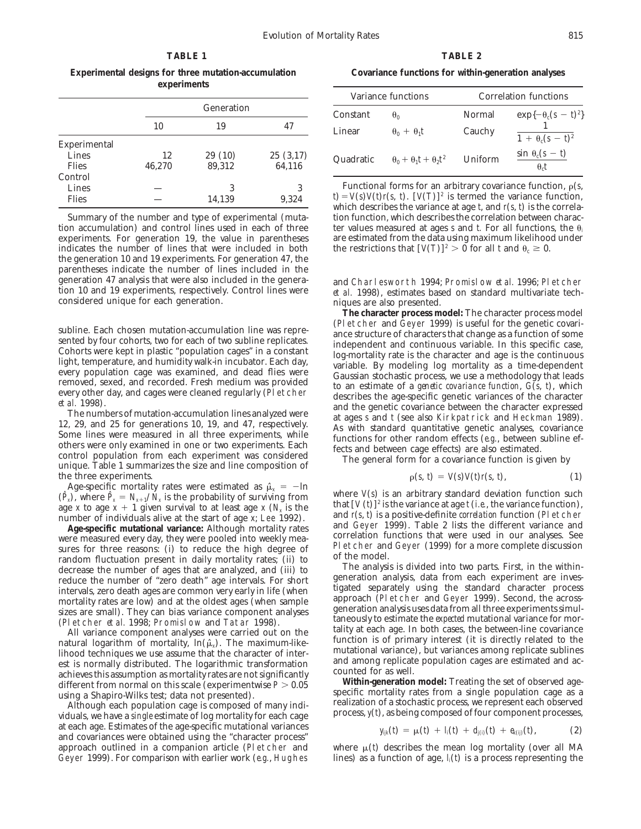# **TABLE 1 TABLE 2**

**Experimental designs for three mutation-accumulation Covariance functions for within-generation analyses experiments**

|              |            |        |          |                                                                                                                                       | Variance functions                                     | Correlation functions |                        |  |
|--------------|------------|--------|----------|---------------------------------------------------------------------------------------------------------------------------------------|--------------------------------------------------------|-----------------------|------------------------|--|
|              | Generation |        |          | Constant                                                                                                                              | $\theta_0$                                             | Normal                | $\exp\{-\theta_c(s -$  |  |
|              | 10         | 19     | 47       | Linear                                                                                                                                | $\theta_0 + \theta_1 t$                                | Cauchy                |                        |  |
| Experimental |            |        |          |                                                                                                                                       |                                                        |                       | $1 + \theta_c(s - t)$  |  |
| Lines        | 12         | 29(10) | 25(3,17) | Quadratic                                                                                                                             | $\theta_0 + \theta_1 t + \theta_2 t^2$                 | Uniform               | $\sin \theta_c(s - t)$ |  |
| <b>Flies</b> | 46.270     | 89.312 | 64,116   |                                                                                                                                       |                                                        |                       | $\theta_c t$           |  |
| Control      |            |        |          |                                                                                                                                       |                                                        |                       |                        |  |
| Lines        |            |        | 3        |                                                                                                                                       | Functional forms for an arbitrary covariance function, |                       |                        |  |
| <b>Flies</b> |            | 14,139 | 9,324    | $t = V(s) V(t) r(s, t)$ . $[V(T)]^2$ is termed the variance funct<br>which describes the variance at age t, and $r(s, t)$ is the core |                                                        |                       |                        |  |

indicates the number of lines that were included in both the generation 10 and 19 experiments. For generation 47, the parentheses indicate the number of lines included in the generation 47 analysis that were also included in the genera-<br>
tion 10 and 19 experiments, respectively. Control lines were *et al.* 1998), estimates based on standard multivariate tech-

 $t$ he three experiments.

Age-specific mortality rates were estimated as  $\hat{\mu}_x = -\ln x$ 

mumber of individuals alive at the start of age  $x$ ; Lee 1992).<br>
Age specific mutational variance: Although mortality rates<br>
were measured every day, they were pooled into weekly mea-<br>
sures for three reasons: (i) to redu

viduals, we have a *single* estimate of log mortality for each cage at each age. Estimates of the age-specific mutational variances<br>and covariances were obtained using the "character process" approach outlined in a companion article (Pletcher and where  $\mu(t)$  describes the mean log mortality (over all MA Geyer 1999). For comparison with earlier work (*e.g.*, Hughes lines) as a function of age,  $I_i(t)$  is a process representing the

| experiments |                  |                    |           |                                        |                       |                                        |  |
|-------------|------------------|--------------------|-----------|----------------------------------------|-----------------------|----------------------------------------|--|
|             |                  |                    |           | Variance functions                     | Correlation functions |                                        |  |
|             | Generation       |                    | Constant  | $\theta_0$                             | Normal                | $\exp\{-\theta_c(s-\tau)^2\}$          |  |
| 10          | 19               | 47                 | Linear    | $\theta_0 + \theta_1 t$                | Cauchy                | $1 + \theta_c(s - t)^2$                |  |
| 12<br>1.270 | 29(10)<br>89,312 | 25(3,17)<br>64,116 | Quadratic | $\theta_0 + \theta_1 t + \theta_2 t^2$ | Uniform               | $\sin \theta_c(s - t)$<br>$\theta_c t$ |  |

Functional forms for an arbitrary covariance function,  $\rho(s, t) = V(s) V(t) r(s, t)$ .  $[V(T)]^2$  is termed the variance function, which describes the variance at age t, and  $r(s, t)$  is the correla-Summary of the number and type of experimental (muta- tion function, which describes the correlation between charaction accumulation) and control lines used in each of three ter values measured at ages  $s$  and  $t$ . For all functions, the  $\theta_i$  experiments. For generation 19, the value in parentheses are estimated from the data using m are estimated from the data using maximum likelihood under the restrictions that  $[V(T)]^2 > 0$  for all t and  $\theta_c \ge 0$ .

tion 10 and 19 experiments, respectively. Control lines were *et al.* 1998), estimates based on standard multivariate tech-<br>considered unique for each generation. **niques are also presented**.

**The character process model:** The character process model subline. Each chosen mutation-accumulation line was repre-<br>sented by four cohorts, two for each of two subline replicates.<br>
Sented by four cohorts, two for each of two subline replicates.<br>
Cohorts were kept in plastic "po

$$
\rho(s, t) = V(s) V(t) r(s, t), \qquad (1)
$$

( $\hat{P}_x$ ), where  $\hat{P}_x = N_{x+1}/N_x$  is the probability of surviving from<br>age x to age  $x + 1$  given survival to at least age x ( $N_x$  is the least  $[ V(t) ]^2$  is the variance at age t (*i.e.*, the variance function),<br>number o

intervals, zero death ages are common very early in life (when analysis user approach (Pletcher and Geyer 1999). Second, the across-<br>mortality rates are low) and at the oldest ages (when sample approach (Pletcher and Geyer sizes are small). They can bias variance component analyses<br>
(Pletcher *et al.* 1998; Promislow and Tatar 1998).<br>
All variance component analyses were carried out on the<br>
natural logarithm of mortality,  $\ln(\hat{\mu}_x)$ . The m

different from normal on this scale (experimentwise  $P > 0.05$ <br>using a Shapiro-Wilks test; data not presented).<br>Although each population cage is composed of many indi-<br>viduals we have a single estimate of log mortality for

$$
y_{ijk}(t) = \mu(t) + I_i(t) + d_{i(i)}(t) + e_{k(i)}(t), \qquad (2)
$$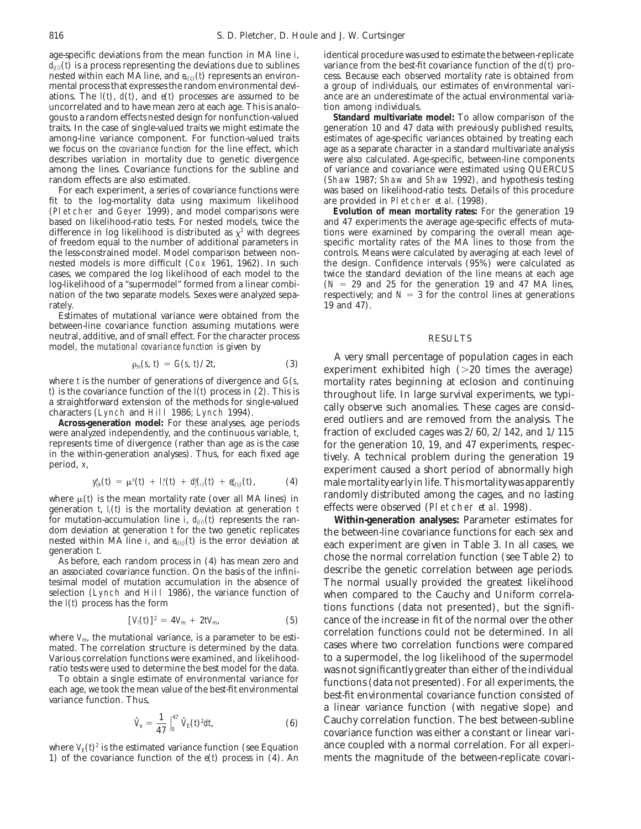$d_{j(0)}(t)$  is a process representing the deviations due to sublines variance from the best-fit covariance function of the  $d(t)$  pro-<br>nested within each MA line, and  $e_{ki\hat{m}}(t)$  represents an environcess. Because each o nested within each MA line, and  $e_{k(ij)}$  ( $\theta$ ) represents an environmental process that expresses the random environmental devi- a group of individuals, our estimates of environmental variations. The  $I(t)$ ,  $d(t)$ , and  $e(t)$  processes are assumed to be ance are an underestimate of the actual environmental variauncorrelated and to have mean zero at each age. This is analo-<br>gous to a random effects nested design for nonfunction-valued<br>**Standard multivariate model:** To allow comparison of the gous to a random effects nested design for nonfunction-valued traits. In the case of single-valued traits we might estimate the among-line variance component. For function-valued traits estimates of age-specific variances obtained by treating each we focus on the *covariance function* for the line effect, which age as a separate character in a standard multivariate analysis describes variation in mortality due to genetic divergence were also calculated. Age-specific describes variation in mortality due to genetic divergence were also calculated. Age-specific, between-line components among the lines. Covariance functions for the subline and of variance and covariance were estimated usi among the lines. Covariance functions for the subline and

fit to the log-mortality data using maximum likelihood are provided in Pletcher *et al.* (1998). (Pletcher and Geyer 1999), and model comparisons were based on likelihood-ratio tests. For nested models, twice the difference in log likelihood is distributed as  $\chi^2$  with degrees in tions were examined by comparing the overall mean age-<br>of freedom equal to the number of additional parameters in specific mortality rates of the MA li of freedom equal to the number of additional parameters in the less-constrained model. Model comparison between non- controls. Means were calculated by averaging at each level of nested models is more difficult (Cox 1961, 1962). In such the design. Confidence intervals (95%) were calculated as cases, we compared the log likelihood of each model to the twice the standard deviation of the line means cases, we compared the log likelihood of each model to the log-likelihood of a "supermodel" formed from a linear combination of the two separate models. Sexes were analyzed sepa- respectively; and  $N = 3$  for the control lines at generations rately. 19 and 47).

Estimates of mutational variance were obtained from the between-line covariance function assuming mutations were neutral, additive, and of small effect. For the character process RESULTS model, the *mutational covariance function* is given by

$$
\rho_m(s, t) = G(s, t)/2t, \tag{3}
$$

where *t* is the number of generations of divergence and  $G(s, \cdot)$  mortality rates beginning at eclosion and continuing  $\theta$  is the covariance function of the  $I(\theta)$  process in (2). This is

were analyzed independently, and the continuous variable, *t*, fraction of excluded cages was 2/60, 2/142, and 1/115

$$
y_{ijk}^x(t) = \mu^x(t) + I_i^x(t) + d_j^x(t) + e_{k(i)}^x(t), \qquad (4)
$$

generation *t*,  $l_i(t)$  is the mortality deviation at generation *t* effects were observed (Pletcher *et al.* 1998).<br>
for mutation-accumulation line *i*,  $d_{i0}(t)$  represents the ran-**Within-generation analyses:** Parameter for mutation-accumulation line  $\tilde{i}$ ,  $d_{j(i)}$  ( $\theta$ ) represents the ran- dom deviation at generation  $t$  for the two genetic replicates dom deviation at generation *t* for the two genetic replicates the between-line covariance functions for each sex and nested within MA line *i*, and  $e_{k(j)}(t)$  is the error deviation at each experiment are given in Table

an associated covariance function. On the basis of the infinitesimal model of mutation accumulation in the absence of tesimal model of mutation accumulation in the absence of The normal usually provided the greatest likelihood selection (Lynch and Hill 1986), the variance function of when compared to the Cauchy and Uniform correla-

$$
[V_1(t)]^2 = 4V_m + 2tV_m, \tag{5}
$$

Various correlation functions were examined, and likelihood-<br>
ratio tests were used to determine the best model for the data. Was not significantly greater than either of the individual

$$
\hat{V}_{\rm e} = \frac{1}{47} \int_0^{47} \hat{V}_{\rm E}(t)^2 dt, \tag{6}
$$

1) of the covariance function of the *e*(*t*) process in (4). An ments the magnitude of the between-replicate covari-

age-specific deviations from the mean function in MA line *i*, identical procedure was used to estimate the between-replicate  $d_{n\lambda}(t)$  is a process representing the deviations due to sublines variance from the best-fit

generation 10 and 47 data with previously published results, random effects are also estimated. (Shaw 1987; Shaw and Shaw 1992), and hypothesis testing<br>For each experiment, a series of covariance functions were vas based on likelihood-ratio tests. Details of this procedure was based on likelihood-ratio tests. Details of this procedure

> and 47 experiments the average age-specific effects of muta-<br>tions were examined by comparing the overall mean age- $(N = 29$  and 25 for the generation 19 and 47 MA lines,

A very small percentage of population cages in each experiment exhibited high ( $>20$  times the average) *throughout life.* In large survival experiments, we typi-<br>a straightforward extension of the methods for single-valued<br>characters (Lynch and Hill 1986; Lynch 1994).<br>**Across-generation model:** For these analyses, age peri ered outliers and are removed from the analysis. The represents time of divergence (rather than age as is the case for the generation 10, 19, and 47 experiments, respecine the within-generation analyses). Thus, for each fixed age  $\frac{19}{2}$  is the chanical problem during th *<sup>k</sup>*(*ij*)(*t*), (4) male mortality early in life. This mortality was apparently where  $\mu(\theta)$  is the mean mortality rate (over all MA lines) in and is transformed among the cages, and no lasting generation  $t = \mu(\theta)$  is the mortality deviation at generation  $t = \theta$  effects were observed (Pletcher *et a* 

deach experiment are given in Table 3. In all cases, we<br>generation t.<br>As before, each random process in (4) has mean zero and<br>an associated covariance function. On the basis of the infini-<br>describe the genetic correlation selection (Lynch and Hill 1986), the variance function of when compared to the Cauchy and Uniform correla-<br>the *l*(*t*) process has the form the signifi-<br>tions functions (data not presented), but the signifi- $\frac{1}{\sqrt{2}}$  cance of the increase in fit of the normal over the other where *V*<sub>m</sub>, the mutational variance, is a parameter to be esticular correlation functions could not be determined. In all mated. The correlation structure is determined by the data. Cases where two correlation functions cases where two correlation functions were compared ratio tests were used to determine the best model for the data. To obtain a single estimate of environmental variance for<br>To obtain a single estimate of environmental variance for each age, we took the mean value of the be Cauchy correlation function. The best between-subline covariance function was either a constant or linear variwhere  $V_E(\hat{\rho})^2$  is the estimated variance function (see Equation ance coupled with a normal correlation. For all experi-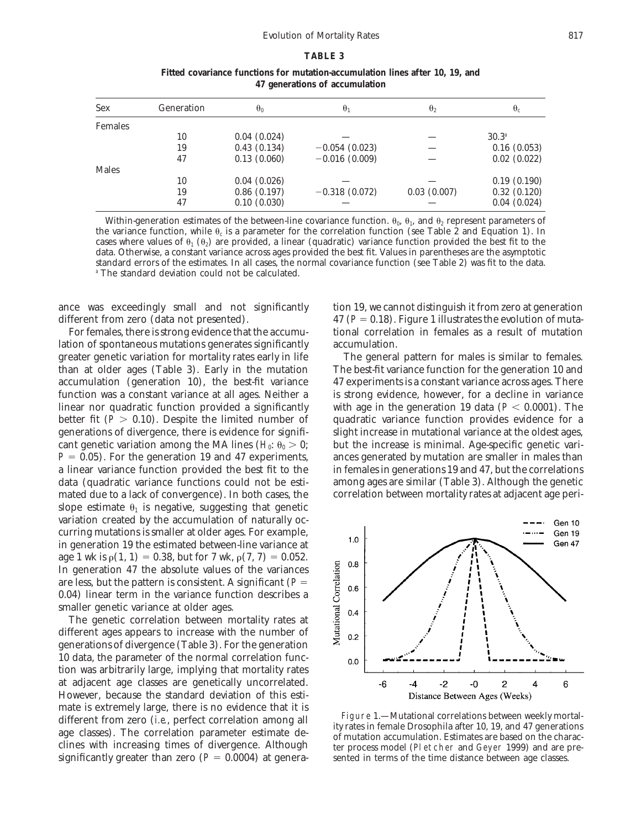### **TABLE 3**

|                |            | $\cdot$     |                 |              |             |
|----------------|------------|-------------|-----------------|--------------|-------------|
| <b>Sex</b>     | Generation | $\theta_0$  | $\theta_1$      | $\theta_{2}$ | $\theta_c$  |
| <b>Females</b> |            |             |                 |              |             |
|                | 10         | 0.04(0.024) |                 |              | $30.3^{a}$  |
|                | 19         | 0.43(0.134) | $-0.054(0.023)$ |              | 0.16(0.053) |
|                | 47         | 0.13(0.060) | $-0.016(0.009)$ |              | 0.02(0.022) |
| <b>Males</b>   |            |             |                 |              |             |
|                | 10         | 0.04(0.026) |                 |              | 0.19(0.190) |
|                | 19         | 0.86(0.197) | $-0.318(0.072)$ | 0.03(0.007)  | 0.32(0.120) |
|                | 47         | 0.10(0.030) |                 |              | 0.04(0.024) |

**Fitted covariance functions for mutation-accumulation lines after 10, 19, and 47 generations of accumulation**

Within-generation estimates of the between-line covariance function.  $\theta_0$ ,  $\theta_1$ , and  $\theta_2$  represent parameters of the variance function, while  $\theta_c$  is a parameter for the correlation function (see Table 2 and Equation 1). In cases where values of  $\theta_1$  ( $\theta_2$ ) are provided, a linear (quadratic) variance function provided the best fit to the data. Otherwise, a constant variance across ages provided the best fit. Values in parentheses are the asymptotic standard errors of the estimates. In all cases, the normal covariance function (see Table 2) was fit to the data. *<sup>a</sup>* The standard deviation could not be calculated.

ance was exceedingly small and not significantly tion 19, we cannot distinguish it from zero at generation different from zero (data not presented). 47 (*P* = 0.18). Figure 1 illustrates the evolution of muta-

lation of spontaneous mutations generates significantly accumulation. greater genetic variation for mortality rates early in life The general pattern for males is similar to females. than at older ages (Table 3). Early in the mutation The best-fit variance function for the generation 10 and accumulation (generation 10), the best-fit variance 47 experiments is a constant variance across ages. There function was a constant variance at all ages. Neither a is strong evidence, however, for a decline in variance linear nor quadratic function provided a significantly with age in the generation 19 data ( $P < 0.0001$ ). The better fit  $(P > 0.10)$ . Despite the limited number of quadratic variance function provides evidence for a generations of divergence, there is evidence for signifi- slight increase in mutational variance at the oldest ages, cant genetic variation among the MA lines  $(H_0: \theta_0 > 0;$  but the increase is minimal. Age-specific genetic vari- $P = 0.05$ ). For the generation 19 and 47 experiments, ances generated by mutation are smaller in males than a linear variance function provided the best fit to the in females in generations 19 and 47, but the correlations data (quadratic variance functions could not be esti- among ages are similar (Table 3). Although the genetic mated due to a lack of convergence). In both cases, the correlation between mortality rates at adjacent age perislope estimate  $\theta_1$  is negative, suggesting that genetic variation created by the accumulation of naturally occurring mutations is smaller at older ages. For example, in generation 19 the estimated between-line variance at age 1 wk is  $\rho(1, 1) = 0.38$ , but for 7 wk,  $\rho(7, 7) = 0.052$ . In generation 47 the absolute values of the variances are less, but the pattern is consistent. A significant  $(P =$ 0.04) linear term in the variance function describes a smaller genetic variance at older ages.

The genetic correlation between mortality rates at different ages appears to increase with the number of generations of divergence (Table 3). For the generation 10 data, the parameter of the normal correlation function was arbitrarily large, implying that mortality rates at adjacent age classes are genetically uncorrelated. However, because the standard deviation of this estimate is extremely large, there is no evidence that it is<br>different from zero (*i.e.*, perfect correlation among all<br>age classes). The correlation parameter estimate de-<br>clines with increasing times of divergence. Although<br> significantly greater than zero  $(P = 0.0004)$  at genera-sented in terms of the time distance between age classes.

For females, there is strong evidence that the accumu-<br>tional correlation in females as a result of mutation



ter process model (Pletcher and Geyer 1999) and are pre-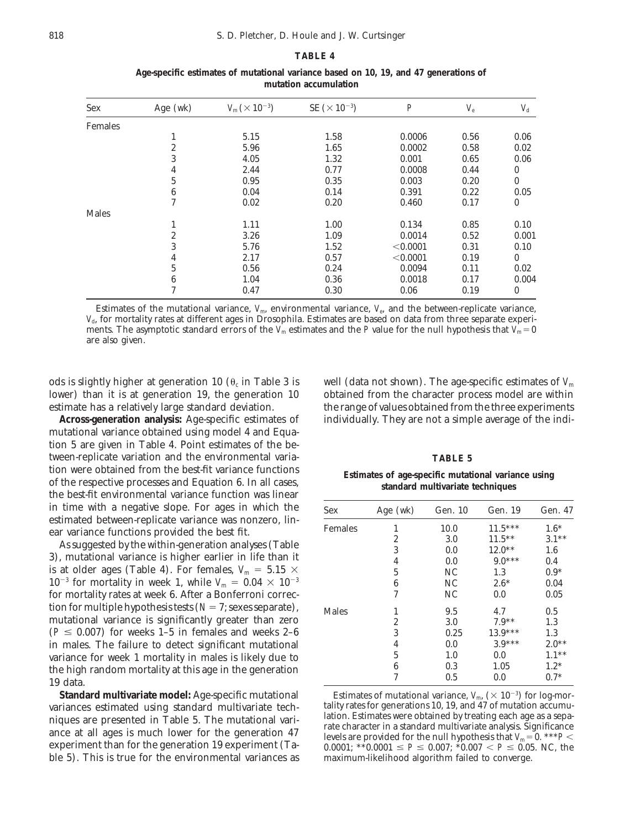# **TABLE 4**

| <b>Sex</b>     | Age (wk) | $V_{\rm m}$ ( $\times$ 10 <sup>-3</sup> ) | $SE$ ( $\times$ 10 <sup>-3</sup> ) | $\boldsymbol{P}$ | $V_{\rm e}$ | $V_{\rm d}$  |
|----------------|----------|-------------------------------------------|------------------------------------|------------------|-------------|--------------|
| <b>Females</b> |          |                                           |                                    |                  |             |              |
|                | 1        | 5.15                                      | 1.58                               | 0.0006           | 0.56        | 0.06         |
|                | 2        | 5.96                                      | 1.65                               | 0.0002           | 0.58        | 0.02         |
|                | 3        | 4.05                                      | 1.32                               | 0.001            | 0.65        | 0.06         |
|                | 4        | 2.44                                      | 0.77                               | 0.0008           | 0.44        | 0            |
|                | 5        | 0.95                                      | 0.35                               | 0.003            | 0.20        | $\bf{0}$     |
|                | 6        | 0.04                                      | 0.14                               | 0.391            | 0.22        | 0.05         |
|                | 7        | 0.02                                      | 0.20                               | 0.460            | 0.17        | 0            |
| <b>Males</b>   |          |                                           |                                    |                  |             |              |
|                | 1        | 1.11                                      | 1.00                               | 0.134            | 0.85        | 0.10         |
|                | 2        | 3.26                                      | 1.09                               | 0.0014           | 0.52        | 0.001        |
|                | 3        | 5.76                                      | 1.52                               | < 0.0001         | 0.31        | 0.10         |
|                | 4        | 2.17                                      | 0.57                               | < 0.0001         | 0.19        | $\mathbf{0}$ |
|                | 5        | 0.56                                      | 0.24                               | 0.0094           | 0.11        | 0.02         |
|                | 6        | 1.04                                      | 0.36                               | 0.0018           | 0.17        | 0.004        |
|                | 7        | 0.47                                      | 0.30                               | 0.06             | 0.19        | $\bf{0}$     |

**Age-specific estimates of mutational variance based on 10, 19, and 47 generations of mutation accumulation**

Estimates of the mutational variance,  $V_{m}$ , environmental variance,  $V_{e}$ , and the between-replicate variance, *V*d, for mortality rates at different ages in Drosophila. Estimates are based on data from three separate experiments. The asymptotic standard errors of the  $V_m$  estimates and the *P* value for the null hypothesis that  $V_m = 0$ are also given.

ods is slightly higher at generation 10  $(\theta_c$  in Table 3 is well (data not shown). The age-specific estimates of  $V_m$ lower) than it is at generation 19, the generation 10 obtained from the character process model are within estimate has a relatively large standard deviation. the range of values obtained from the three experiments

mutational variance obtained using model 4 and Equation 5 are given in Table 4. Point estimates of the between-replicate variation and the environmental varia- **TABLE 5** tion were obtained from the best-fit variance functions<br>of the respective processes and Equation 6. In all cases,<br>the best-fit environmental variance function was linear<br>the best-fit environmental variance function was lin in time with a negative slope. For ages in which the estimated between-replicate variance was nonzero, lin-

**Standard multivariate model:** Age-specific mutational Estimates of mutational variance,  $V_{\text{m}}$ ,  $(\times 10^{-3})$  for log-morriances estimated using standard multivariate tech-<br>
intity rates for generations 10, 19, and 47 of

**Across-generation analysis:** Age-specific estimates of individually. They are not a simple average of the indi-

| in time with a negative slope. For ages in which the                 | Sex            | Age $(wk)$ | Gen. 10          | Gen. 19   | Gen. 47  |
|----------------------------------------------------------------------|----------------|------------|------------------|-----------|----------|
| estimated between-replicate variance was nonzero, lin-               | <b>Females</b> |            | 10.0             | $11.5***$ | $1.6*$   |
| ear variance functions provided the best fit.                        |                |            | 3.0              | $11.5***$ | $3.1**$  |
| As suggested by the within-generation analyses (Table                |                |            | 0.0              | $12.0**$  | $1.6\,$  |
| 3), mutational variance is higher earlier in life than it            |                |            |                  | $9.0***$  |          |
| is at older ages (Table 4). For females, $V_m = 5.15 \times$         |                |            | 0.0              |           | 0.4      |
|                                                                      |                |            | NC.              | 1.3       | $0.9*$   |
| $10^{-3}$ for mortality in week 1, while $V_m = 0.04 \times 10^{-3}$ |                |            | NC.              | $2.6*$    | 0.04     |
| for mortality rates at week 6. After a Bonferroni correc-            |                |            | NC.              | 0.0       | 0.05     |
| tion for multiple hypothesis tests $(N=7; \text{sexes separate})$ ,  | <b>Males</b>   |            | 9.5              | 4.7       | 0.5      |
| mutational variance is significantly greater than zero               |                |            | 3.0 <sub>2</sub> | $7.9**$   | 1.3      |
| $(P \leq 0.007)$ for weeks 1-5 in females and weeks 2-6              |                |            | 0.25             | $13.9***$ | 1.3      |
| in males. The failure to detect significant mutational               |                |            | $0.0\,$          | $3.9***$  | $2.0**$  |
| variance for week 1 mortality in males is likely due to              |                |            | 1.0              | 0.0       | $1.1***$ |
| the high random mortality at this age in the generation              |                |            | 0.3              | 1.05      | $1.2*$   |
| $19$ data.                                                           |                |            | 0.5              | 0.0       | $0.7*$   |
|                                                                      |                |            |                  |           |          |

variances estimated using standard multivariate tech-<br>niquos are prosented in Table 5. The mutational variation lation. Estimates were obtained by treating each age as a sepaniques are presented in Table 5. The mutational vari-<br>ance at all ages is much lower for the generation 47<br>experiment than for the generation 19 experiment (Ta-<br>experiment than for the generation 19 experiment (Ta-<br> $0.000$ experiment than for the generation 19 experiment (Ta-<br>ble 5). This is true for the environmental variances as maximum-likelihood algorithm failed to converge. maximum-likelihood algorithm failed to converge.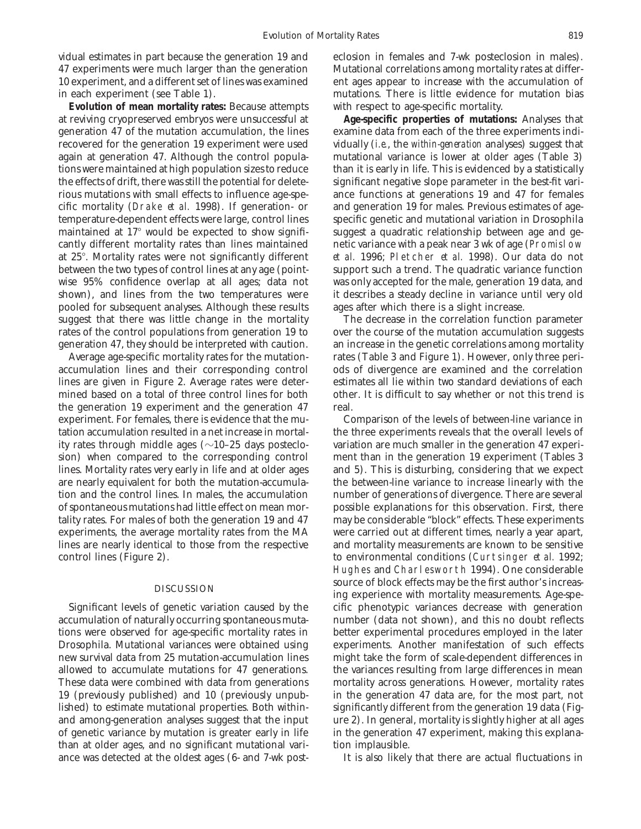47 experiments were much larger than the generation Mutational correlations among mortality rates at differin each experiment (see Table 1). mutations. There is little evidence for mutation bias

**Evolution of mean mortality rates:** Because attempts with respect to age-specific mortality. at reviving cryopreserved embryos were unsuccessful at **Age-specific properties of mutations:** Analyses that generation 47 of the mutation accumulation, the lines examine data from each of the three experiments indirecovered for the generation 19 experiment were used vidually (*i.e.*, the *within-generation* analyses) suggest that again at generation 47. Although the control popula- mutational variance is lower at older ages (Table 3) tions were maintained at high population sizes to reduce than it is early in life. This is evidenced by a statistically the effects of drift, there was still the potential for delete- significant negative slope parameter in the best-fit varirious mutations with small effects to influence age-spe- ance functions at generations 19 and 47 for females cific mortality (Drake *et al.* 1998). If generation- or and generation 19 for males. Previous estimates of agetemperature-dependent effects were large, control lines specific genetic and mutational variation in Drosophila maintained at  $17^{\circ}$  would be expected to show signifi- suggest a quadratic relationship between age and gecantly different mortality rates than lines maintained netic variance with a peak near 3 wk of age (Promislow at 25°. Mortality rates were not significantly different *et al.* 1996; Pletcher *et al.* 1998). Our data do not between the two types of control lines at any age (point- support such a trend. The quadratic variance function wise 95% confidence overlap at all ages; data not was only accepted for the male, generation 19 data, and shown), and lines from the two temperatures were it describes a steady decline in variance until very old pooled for subsequent analyses. Although these results ages after which there is a slight increase. suggest that there was little change in the mortality The decrease in the correlation function parameter rates of the control populations from generation 19 to over the course of the mutation accumulation suggests generation 47, they should be interpreted with caution. an increase in the genetic correlations among mortality

accumulation lines and their corresponding control ods of divergence are examined and the correlation lines are given in Figure 2. Average rates were deter- estimates all lie within two standard deviations of each mined based on a total of three control lines for both other. It is difficult to say whether or not this trend is the generation 19 experiment and the generation 47 real. experiment. For females, there is evidence that the mu- Comparison of the levels of between-line variance in tation accumulation resulted in a net increase in mortal- the three experiments reveals that the overall levels of ity rates through middle ages  $(\sim 10-25$  days posteclo- variation are much smaller in the generation 47 experision) when compared to the corresponding control ment than in the generation 19 experiment (Tables 3 lines. Mortality rates very early in life and at older ages and 5). This is disturbing, considering that we expect are nearly equivalent for both the mutation-accumula- the between-line variance to increase linearly with the tion and the control lines. In males, the accumulation number of generations of divergence. There are several of spontaneous mutations had little effect on mean mor- possible explanations for this observation. First, there tality rates. For males of both the generation 19 and 47 may be considerable "block" effects. These experiments experiments, the average mortality rates from the MA were carried out at different times, nearly a year apart, lines are nearly identical to those from the respective and mortality measurements are known to be sensitive control lines (Figure 2). to environmental conditions (Curtsinger *et al.* 1992;

tions were observed for age-specific mortality rates in better experimental procedures employed in the later lished) to estimate mutational properties. Both within- significantly different from the generation 19 data (Figof genetic variance by mutation is greater early in life in the generation 47 experiment, making this explanathan at older ages, and no significant mutational vari- tion implausible. ance was detected at the oldest ages (6- and 7-wk post- It is also likely that there are actual fluctuations in

vidual estimates in part because the generation 19 and eclosion in females and 7-wk posteclosion in males). 10 experiment, and a different set of lines was examined ent ages appear to increase with the accumulation of

Average age-specific mortality rates for the mutation- rates (Table 3 and Figure 1). However, only three peri-

Hughes and Charlesworth 1994). One considerable source of block effects may be the first author's increas- DISCUSSION ing experience with mortality measurements. Age-spe-Significant levels of genetic variation caused by the cific phenotypic variances decrease with generation accumulation of naturally occurring spontaneous muta- number (data not shown), and this no doubt reflects Drosophila. Mutational variances were obtained using experiments. Another manifestation of such effects new survival data from 25 mutation-accumulation lines might take the form of scale-dependent differences in allowed to accumulate mutations for 47 generations. the variances resulting from large differences in mean These data were combined with data from generations mortality across generations. However, mortality rates 19 (previously published) and 10 (previously unpub- in the generation 47 data are, for the most part, not and among-generation analyses suggest that the input ure 2). In general, mortality is slightly higher at all ages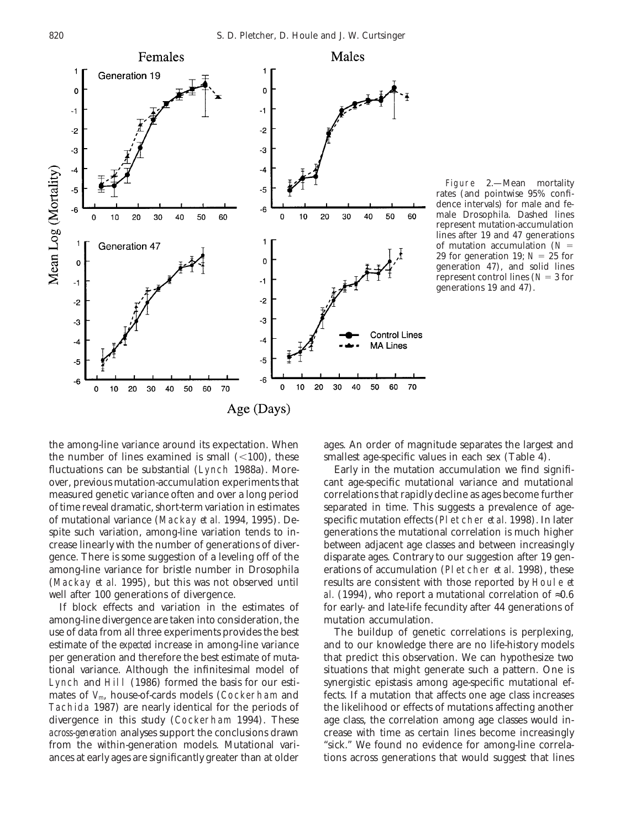

Figure 2.—Mean mortality rates (and pointwise 95% confidence intervals) for male and female Drosophila. Dashed lines represent mutation-accumulation lines after 19 and 47 generations of mutation accumulation  $(N =$ 29 for generation 19;  $N = 25$  for generation 47), and solid lines represent control lines ( $N = 3$  for generations 19 and 47).

the among-line variance around its expectation. When ages. An order of magnitude separates the largest and the number of lines examined is small  $\ll 100$ , these smallest age-specific values in each sex (Table 4). fluctuations can be substantial (Lynch 1988a). More- Early in the mutation accumulation we find signifiover, previous mutation-accumulation experiments that cant age-specific mutational variance and mutational measured genetic variance often and over a long period correlations that rapidly decline as ages become further of time reveal dramatic, short-term variation in estimates separated in time. This suggests a prevalence of ageof mutational variance (Mackay *et al.* 1994, 1995). De- specific mutation effects (Pletcher *et al.* 1998). In later spite such variation, among-line variation tends to in- generations the mutational correlation is much higher crease linearly with the number of generations of diver- between adjacent age classes and between increasingly gence. There is some suggestion of a leveling off of the disparate ages. Contrary to our suggestion after 19 genamong-line variance for bristle number in Drosophila erations of accumulation (Pletcher *et al.* 1998), these (Mackay *et al.* 1995), but this was not observed until results are consistent with those reported by Houle *et* well after 100 generations of divergence. *al.* (1994), who report a mutational correlation of ≈0.6

among-line divergence are taken into consideration, the mutation accumulation. use of data from all three experiments provides the best The buildup of genetic correlations is perplexing, estimate of the *expected* increase in among-line variance and to our knowledge there are no life-history models per generation and therefore the best estimate of muta- that predict this observation. We can hypothesize two tional variance. Although the infinitesimal model of situations that might generate such a pattern. One is Lynch and Hill (1986) formed the basis for our esti- synergistic epistasis among age-specific mutational efmates of *V*<sub>m</sub>, house-of-cards models (Cockerham and fects. If a mutation that affects one age class increases Tachida 1987) are nearly identical for the periods of the likelihood or effects of mutations affecting another divergence in this study (Cockerham 1994). These age class, the correlation among age classes would in*across-generation* analyses support the conclusions drawn crease with time as certain lines become increasingly from the within-generation models. Mutational vari- "sick." We found no evidence for among-line correla-

If block effects and variation in the estimates of for early- and late-life fecundity after 44 generations of

ances at early ages are significantly greater than at older tions across generations that would suggest that lines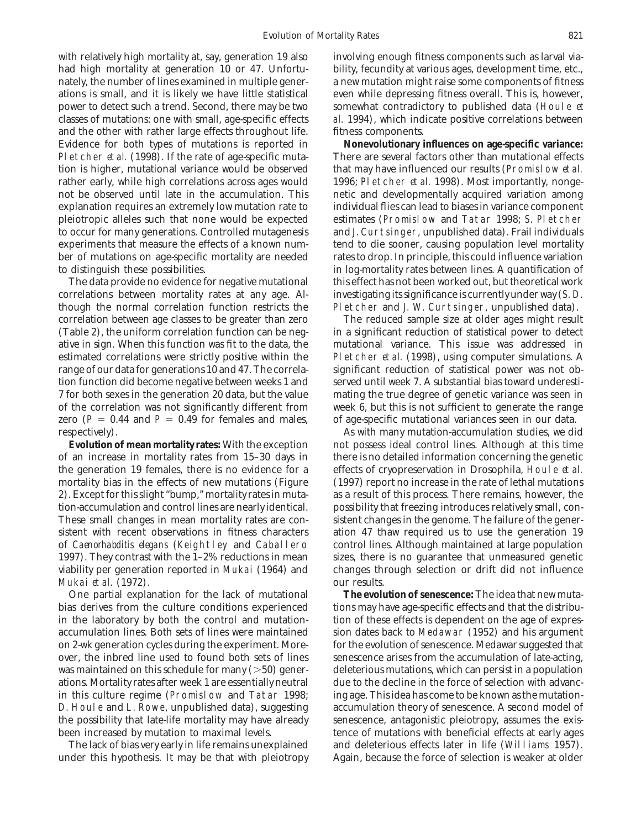with relatively high mortality at, say, generation 19 also involving enough fitness components such as larval viahad high mortality at generation 10 or 47. Unfortu-<br>bility, fecundity at various ages, development time, etc., nately, the number of lines examined in multiple gener- a new mutation might raise some components of fitness ations is small, and it is likely we have little statistical even while depressing fitness overall. This is, however, power to detect such a trend. Second, there may be two somewhat contradictory to published data (Houle *et* classes of mutations: one with small, age-specific effects *al.* 1994), which indicate positive correlations between and the other with rather large effects throughout life. fitness components. Pletcher *et al.* (1998). If the rate of age-specific muta- There are several factors other than mutational effects tion is higher, mutational variance would be observed that may have influenced our results (Promislow *et al.* rather early, while high correlations across ages would 1996; Pletcher *et al.* 1998). Most importantly, nongeexplanation requires an extremely low mutation rate to individual flies can lead to biases in variance component pleiotropic alleles such that none would be expected estimates (Promislow and Tatar 1998; S. Pletcher experiments that measure the effects of a known num- tend to die sooner, causing population level mortality

correlations between mortality rates at any age. Al- investigating its significance is currently under way (S. D. though the normal correlation function restricts the Pletcher and J. W. Curtsinger, unpublished data). correlation between age classes to be greater than zero The reduced sample size at older ages might result (Table 2), the uniform correlation function can be neg- in a significant reduction of statistical power to detect ative in sign. When this function was fit to the data, the mutational variance. This issue was addressed in estimated correlations were strictly positive within the Pletcher *et al.* (1998), using computer simulations. A range of our data for generations 10 and 47. The correla- significant reduction of statistical power was not obtion function did become negative between weeks 1 and served until week 7. A substantial bias toward underesti-7 for both sexes in the generation 20 data, but the value mating the true degree of genetic variance was seen in of the correlation was not significantly different from week 6, but this is not sufficient to generate the range zero  $(P = 0.44$  and  $P = 0.49$  for females and males, of age-specific mutational variances seen in our data. respectively). As with many mutation-accumulation studies, we did

of an increase in mortality rates from 15–30 days in there is no detailed information concerning the genetic the generation 19 females, there is no evidence for a effects of cryopreservation in Drosophila, Houle *et al.* mortality bias in the effects of new mutations (Figure (1997) report no increase in the rate of lethal mutations 2). Except for this slight "bump," mortality rates in muta- as a result of this process. There remains, however, the tion-accumulation and control lines are nearly identical. possibility that freezing introduces relatively small, con-These small changes in mean mortality rates are con- sistent changes in the genome. The failure of the genersistent with recent observations in fitness characters ation 47 thaw required us to use the generation 19 of *Caenorhabditis elegans* (Keightley and Caballero control lines. Although maintained at large population viability per generation reported in Mukai (1964) and changes through selection or drift did not influence Mukai *et al.* (1972). our results.

bias derives from the culture conditions experienced tions may have age-specific effects and that the distribuin the laboratory by both the control and mutation- tion of these effects is dependent on the age of expresaccumulation lines. Both sets of lines were maintained sion dates back to Medawar (1952) and his argument on 2-wk generation cycles during the experiment. More- for the evolution of senescence. Medawar suggested that over, the inbred line used to found both sets of lines senescence arises from the accumulation of late-acting, was maintained on this schedule for many  $(>=50)$  gener-deleterious mutations, which can persist in a population ations. Mortality rates after week 1 are essentially neutral due to the decline in the force of selection with advancin this culture regime (Promislow and Tatar 1998; ing age. This idea has come to be known as the mutation-D. Houle and L. Rowe, unpublished data), suggesting accumulation theory of senescence. A second model of the possibility that late-life mortality may have already senescence, antagonistic pleiotropy, assumes the exisbeen increased by mutation to maximal levels. the tence of mutations with beneficial effects at early ages

under this hypothesis. It may be that with pleiotropy Again, because the force of selection is weaker at older

Evidence for both types of mutations is reported in **Nonevolutionary influences on age-specific variance:** not be observed until late in the accumulation. This energic and developmentally acquired variation among to occur for many generations. Controlled mutagenesis and J. Curtsinger, unpublished data). Frail individuals ber of mutations on age-specific mortality are needed rates to drop. In principle, this could influence variation to distinguish these possibilities. in log-mortality rates between lines. A quantification of The data provide no evidence for negative mutational this effect has not been worked out, but theoretical work

**Evolution of mean mortality rates:** With the exception not possess ideal control lines. Although at this time 1997). They contrast with the 1–2% reductions in mean sizes, there is no guarantee that unmeasured genetic

One partial explanation for the lack of mutational **The evolution of senescence:** The idea that new muta-The lack of bias very early in life remains unexplained and deleterious effects later in life (Williams 1957).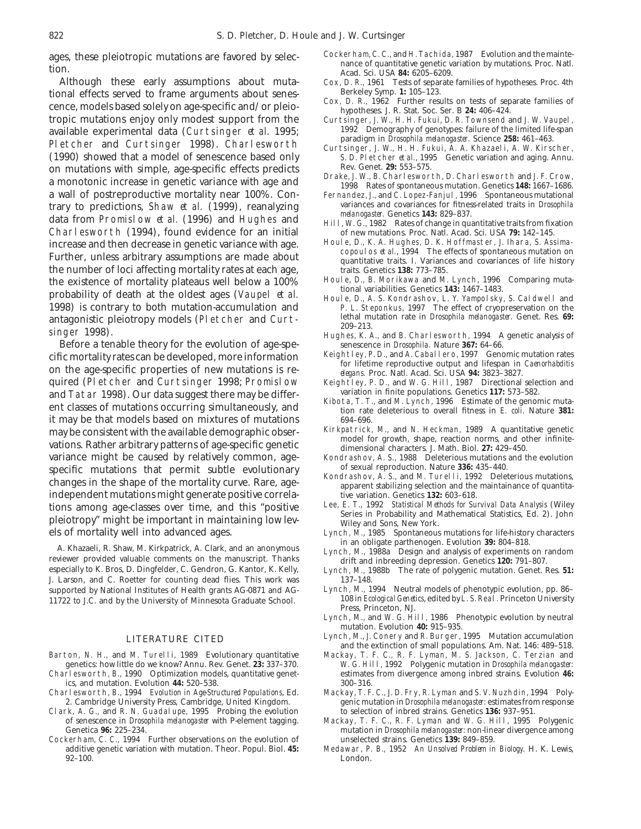tional effects served to frame arguments about senes-<br>
cox, D. R., 1962 Further results on tests of separate families of<br>
tropic mutations enjoy only modest support from the curtsinger, J. W., H. H. Fukui, D. R. Townsend a tropic mutations enjoy only modest support from the Curtsinger, J. W., H. H. Fukui, D. R. Townsend and J. W. Vaupel,<br>available experimental data (Curtsinger et al. 1995: 1992 Demography of genotypes: failure of the limited available experimental data (Curtsinger *et al.* 1995;<br>
Pletcher and Curtsinger 1998). Charlesworth Pletcher and Curtsinger 1998). Charlesworth Pletcher and Curtsinger 1998). Charlesworth (1990) showed that a model of sene (1990) showed that a model of senescence based only S. D. Pletcher *et al.*, 1995 Genetic variations with simple age-specific effects predicts Rev. Genet. **29:** 553-575. on mutations with simple, age-specific effects predicts<br>a monotonic increase in genetic variance with age and<br>a wall of postreproductive mortality near 100%. Con-<br>a wall of postreproductive mortality near 100%. Con-<br>Fernan a wall of postreproductive mortality near 100%. Con-<br>
Fernandez, J., and C. Lopez-Fanjul, 1996 Spontaneous mutational<br>
variances and covariances for fitness-related traits in *Drosophila* trary to predictions, Shaw *et al.* (1999), reanalyzing<br>data from Promislow *et al.* (1996) and Hughes and<br>Charlesworth (1994), found evidence for an initial<br>data from Promislow *et al.* (1996) and Hughes and<br>Fill, W. G., Charlesworth (1994), found evidence for an initial of new mutations. Proc. Natl. Acad. Sci. USA 79: 142-145.<br>
increase and then decrease in genetic variance with age Houle, D., K. A. Hughes, D. K. Hoffmaster, J. Ihara, S. increase and then decrease in genetic variance with age.<br>Further, unless arbitrary assumptions are made about<br>Further, unless arbitrary assumptions are made about<br>quantitative traits. I. Variances and covariances of life h the number of loci affecting mortality rates at each age,<br>the existence of mortality plateaus well below a 100% Houle, D., B. Morikawa and M. Lynch, 1996 Comparing mutathe existence of mortality plateaus well below a 100% Houle, D., B. Morikawa and M. Lynch, 1996 Comparing muta-<br>probability of death at the oldest ages (Vaupel *et al.* Houle, D., A. S. Kondrashov, L. Y. Yampolsky, S. Cald 1998) is contrary to both mutation-accumulation and P. L. Steponkus, 1997 The effect of cryopreservation on the antagonistic pleiotropy models (Pletcher and Curt-<br>lethal mutation rate in *Drosophila melanogaster*. Genet. R antagonistic pleiotropy models (Pletcher and Curt-<br>209-213.

Before a tenable theory for the evolution of age-spe-<br>
fic mortality rates can be developed more information<br>
Keightley, P. D., and A. Caballero, 1997 Genomic mutation rates cific mortality rates can be developed, more information<br>on the age-specific properties of new mutations is re-<br>quired (Pletcher and Curtsinger 1998; Promislow Keightley, P. D., and M. G. Bill, 1987 Directional selection a quired (Pletcher and Curtsinger 1998; Promislow Keightley, P. D., and W. G. Hill, 1987 Directional selection and Tatar 1998). Our data suggest there may be differ- variation in finite populations. Genetics 117: 573-582. ent classes of mutations occurring simultaneously, and<br>it may be that models based on mixtures of mutations of mutations of mutations of mutations of mutations  $694-696$ . it may be that models based on mixtures of mutations 694–696.<br>
may be consistent with the available demographic obser-<br>
Kirkpatrick, M., and N. Heckman, 1989 A quantitative genetic may be consistent with the available demographic obser-<br>model for growth, shape, reaction norms, and other infinite-<br>model for growth, shape, reaction norms, and other infinitevations. Rather arbitrary patterns of age-specific genetic<br>variance might be caused by relatively common, age-<br>Kondrashov, A. S., 1988 Deleterious mutations and the evolution variance might be caused by relatively common, age-<br>specific mutations that permit subtle evolutionary of sexual reproduction. Nature 336: 435-440. specific mutations that permit subtle evolutionary<br>changes in the shape of the mortality curve. Rare, age-<br>apparent stabilizing selection and the maintainance of quantita-<br>apparent stabilizing selection and the maintainanc independent mutations might generate positive correla-<br>
tive variation. Genetics 132: 603-618.<br>
Lee, E. T., 1992 Statistical Methods for Survival Data Analysis (Wiley tions among age-classes over time, and this "positive Lee, E. T., 1992 *Statistical Methods for Survival Data Analysis* (Wiley pleiotropy" might be important in maintaining low levels of mortality well into advanced ages.

A. Khazaeli, R. Shaw, M. Kirkpatrick, A. Clark, and an anonymous<br>
Fuch, M., 1988a Design and analysis of experiments on random<br>
reviewer provided valuable comments on the manuscript. Thanks<br>
especially to K. Bros, D. Dingf J. Larson, and C. Roetter for counting dead flies. This work was  $\frac{137-148}{2}$ .<br>Supported by National Institutes of Health grants AG-0871 and AG-<br>Lynch, M., 1994 Neutral models of phenotypic evolution, pp. 86– supported by National Institutes of Health grants AG-0871 and AG-<br>11722 to J.C. and by the University of Minnesota Graduate School 108 in *Ecological Genetics*, edited by L. S. Real. Princeton University 11722 to J.C. and by the University of Minnesota Graduate School.

- 
- 
- 2. Cambridge University Press, Cambridge, United Kingdom.
- Clark, A. G., and R. N. Guadalupe, 1995 Probing the evolution to selection of inbred strains. Genetics **136:** 937–951. of senescence in *Drosophila melanogaster* with P-element tagging. Mackay, T. F. C., R. F. Lyman and W. G. Hill, 1995 Polygenic
- Cockerham, C. C., 1994 Further observations on the evolution of additive genetic variation with mutation. Theor. Popul. Biol. **45:** Medawar, P. B., 1952 *An Unsolved Problem in Biology.* H. K. Lewis, 92–100. London.
- ages, these pleiotropic mutations are favored by selection.<br>
tion.<br>
Although these early assumptions about muta-<br>
Although these early assumptions about muta-<br>
Although these early assumptions about muta-<br>
Cox, D. R., 1961
	- Cox, D. R., 1961 Tests of separate families of hypotheses. Proc. 4th<br>Berkeley Symp. 1: 105-123.
	-
	-
	-
	-
	-
	-
	-
	-
	-
- 200–213.<br>
200–213. Singer 1998). Hughes, K. A., and B. Charlesworth, 1994 A genetic analysis of<br>
Before a tenable theory for the evolution of age-spe-<br>
Hughes, K. A., and B. Charlesworth, 1994 A genetic analysis of
	-
	-
	-
	-
	-
	-
	-
	- Lynch, M., 1985 Spontaneous mutations for life-history characters<br>in an obligate parthenogen. Evolution 39: 804–818.
	-
	- Lynch, M., 1988b The rate of polygenic mutation. Genet. Res. 51:
	- Press, Princeton, NJ.
	- Lynch, M., and W. G. Hill, 1986 Phenotypic evolution by neutral mutation. Evolution **40:** 915–935.
- Lynch, M., J. Conery and R. Burger, 1995 Mutation accumulation<br>and the extinction of small populations. Am. Nat. 146: 489–518.<br>Mackay, T. F. C., R. F. Lyman, M. S. Jackson, C. Terzian and دار Barton, N. H., and M. Turelli,
- ton, N. H., and M. Turelli, 1989 Evolutionary quantitative Mackay, T. F. C., R. F. Lyman, M. S. Jackson, C. Terzian and genetics: how little do we know? Annu. Rev. Genet. 23: 337-370. W. G. Hill, 1992 Polygenic mutation in genetics: how little do we know? Annu. Rev. Genet. **23:** 337–370. W. G. Hill, 1992 Polygenic mutation in *Drosophila melanogaster:* estimates from divergence among inbred strains. Evolution **46:** 300-316. ics, and mutation. Evolution 44: 520–538.<br>
rlesworth, B., 1994 *Evolution in Age-Structured Populations*, Ed. Mackay, T. F. C., J. D. Fry, R. Lyman and S. V. Nuzhdin, 1994 Poly-
- Charlesworth, B., 1994 *Evolution in Age-Structured Populations*, Ed. Mackay, T. F. C., J. D. Fry, R. Lyman and S. V. Nuzhdin, 1994 Poly
	- mutation in *Drosophila melanogaster:* non-linear divergence among unselected strains. Genetics 139: 849-859.
	-